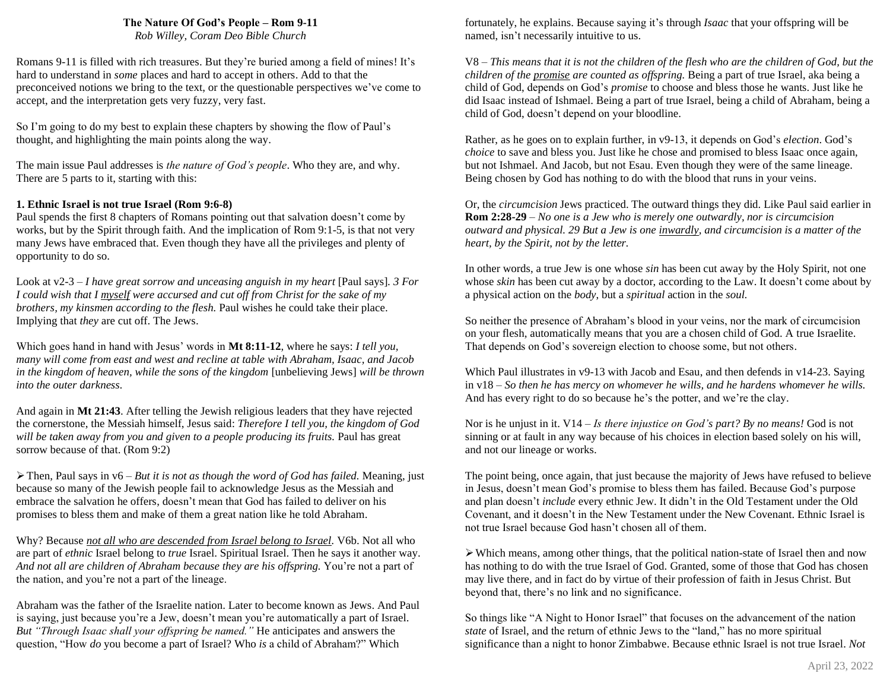# **The Nature Of God's People – Rom 9-11**

*Rob Willey, Coram Deo Bible Church*

Romans 9-11 is filled with rich treasures. But they're buried among a field of mines! It's hard to understand in *some* places and hard to accept in others. Add to that the preconceived notions we bring to the text, or the questionable perspectives we've come to accept, and the interpretation gets very fuzzy, very fast.

So I'm going to do my best to explain these chapters by showing the flow of Paul's thought, and highlighting the main points along the way.

The main issue Paul addresses is *the nature of God's people*. Who they are, and why. There are 5 parts to it, starting with this:

#### **1. Ethnic Israel is not true Israel (Rom 9:6-8)**

Paul spends the first 8 chapters of Romans pointing out that salvation doesn't come by works, but by the Spirit through faith. And the implication of Rom 9:1-5, is that not very many Jews have embraced that. Even though they have all the privileges and plenty of opportunity to do so.

Look at v2-3 – *I have great sorrow and unceasing anguish in my heart* [Paul says]*. 3 For I could wish that I myself were accursed and cut off from Christ for the sake of my brothers, my kinsmen according to the flesh.* Paul wishes he could take their place. Implying that *they* are cut off. The Jews.

Which goes hand in hand with Jesus' words in **Mt 8:11-12**, where he says: *I tell you, many will come from east and west and recline at table with Abraham, Isaac, and Jacob in the kingdom of heaven, while the sons of the kingdom* [unbelieving Jews] *will be thrown into the outer darkness.*

And again in **Mt 21:43**. After telling the Jewish religious leaders that they have rejected the cornerstone, the Messiah himself, Jesus said: *Therefore I tell you, the kingdom of God will be taken away from you and given to a people producing its fruits.* Paul has great sorrow because of that. (Rom 9:2)

➢Then, Paul says in v6 – *But it is not as though the word of God has failed.* Meaning, just because so many of the Jewish people fail to acknowledge Jesus as the Messiah and embrace the salvation he offers, doesn't mean that God has failed to deliver on his promises to bless them and make of them a great nation like he told Abraham.

Why? Because *not all who are descended from Israel belong to Israel.* V6b. Not all who are part of *ethnic* Israel belong to *true* Israel. Spiritual Israel. Then he says it another way. *And not all are children of Abraham because they are his offspring.* You're not a part of the nation, and you're not a part of the lineage.

Abraham was the father of the Israelite nation. Later to become known as Jews. And Paul is saying, just because you're a Jew, doesn't mean you're automatically a part of Israel. *But "Through Isaac shall your offspring be named."* He anticipates and answers the question, "How *do* you become a part of Israel? Who *is* a child of Abraham?" Which

fortunately, he explains. Because saying it's through *Isaac* that your offspring will be named, isn't necessarily intuitive to us.

V8 – *This means that it is not the children of the flesh who are the children of God, but the children of the promise are counted as offspring.* Being a part of true Israel, aka being a child of God, depends on God's *promise* to choose and bless those he wants. Just like he did Isaac instead of Ishmael. Being a part of true Israel, being a child of Abraham, being a child of God, doesn't depend on your bloodline.

Rather, as he goes on to explain further, in v9-13, it depends on God's *election*. God's *choice* to save and bless you. Just like he chose and promised to bless Isaac once again, but not Ishmael. And Jacob, but not Esau. Even though they were of the same lineage. Being chosen by God has nothing to do with the blood that runs in your veins.

Or, the *circumcision* Jews practiced. The outward things they did. Like Paul said earlier in **Rom 2:28-29** – *No one is a Jew who is merely one outwardly, nor is circumcision outward and physical. 29 But a Jew is one inwardly, and circumcision is a matter of the heart, by the Spirit, not by the letter.*

In other words, a true Jew is one whose *sin* has been cut away by the Holy Spirit, not one whose *skin* has been cut away by a doctor, according to the Law. It doesn't come about by a physical action on the *body*, but a *spiritual* action in the *soul.*

So neither the presence of Abraham's blood in your veins, nor the mark of circumcision on your flesh, automatically means that you are a chosen child of God. A true Israelite. That depends on God's sovereign election to choose some, but not others.

Which Paul illustrates in v9-13 with Jacob and Esau, and then defends in v14-23. Saying in v18 – *So then he has mercy on whomever he wills, and he hardens whomever he wills.* And has every right to do so because he's the potter, and we're the clay.

Nor is he unjust in it. V14 – *Is there injustice on God's part? By no means!* God is not sinning or at fault in any way because of his choices in election based solely on his will, and not our lineage or works.

The point being, once again, that just because the majority of Jews have refused to believe in Jesus, doesn't mean God's promise to bless them has failed. Because God's purpose and plan doesn't *include* every ethnic Jew. It didn't in the Old Testament under the Old Covenant, and it doesn't in the New Testament under the New Covenant. Ethnic Israel is not true Israel because God hasn't chosen all of them.

 $\triangleright$  Which means, among other things, that the political nation-state of Israel then and now has nothing to do with the true Israel of God. Granted, some of those that God has chosen may live there, and in fact do by virtue of their profession of faith in Jesus Christ. But beyond that, there's no link and no significance.

So things like "A Night to Honor Israel" that focuses on the advancement of the nation *state* of Israel, and the return of ethnic Jews to the "land," has no more spiritual significance than a night to honor Zimbabwe. Because ethnic Israel is not true Israel. *Not*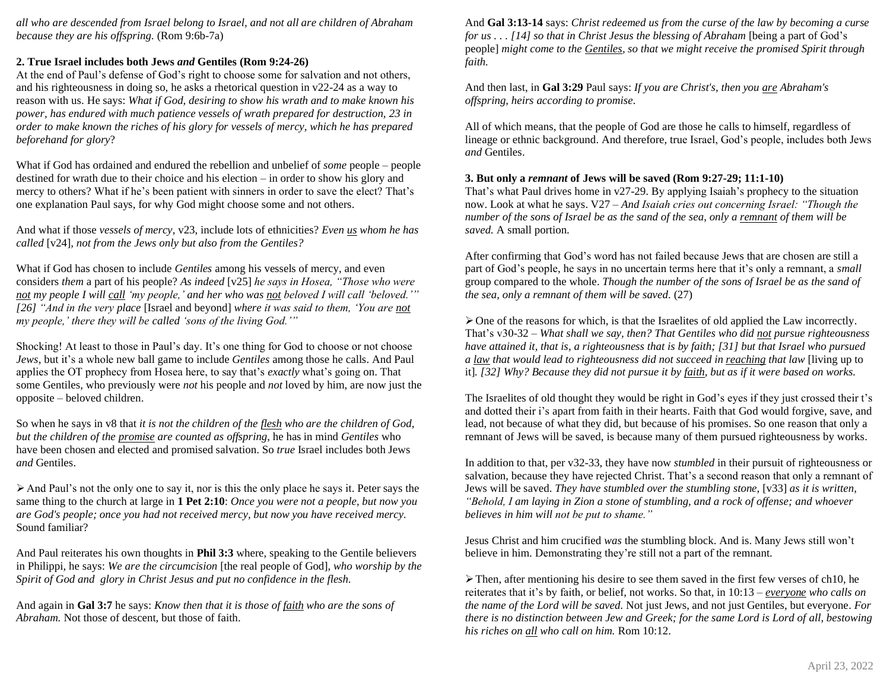*all who are descended from Israel belong to Israel, and not all are children of Abraham because they are his offspring.* (Rom 9:6b-7a)

### **2. True Israel includes both Jews** *and* **Gentiles (Rom 9:24-26)**

At the end of Paul's defense of God's right to choose some for salvation and not others, and his righteousness in doing so, he asks a rhetorical question in v22-24 as a way to reason with us. He says: *What if God, desiring to show his wrath and to make known his power, has endured with much patience vessels of wrath prepared for destruction, 23 in order to make known the riches of his glory for vessels of mercy, which he has prepared beforehand for glory*?

What if God has ordained and endured the rebellion and unbelief of *some* people – people destined for wrath due to their choice and his election – in order to show his glory and mercy to others? What if he's been patient with sinners in order to save the elect? That's one explanation Paul says, for why God might choose some and not others.

And what if those *vessels of mercy*, v23, include lots of ethnicities? *Even us whom he has called* [v24]*, not from the Jews only but also from the Gentiles?*

What if God has chosen to include *Gentiles* among his vessels of mercy, and even considers *them* a part of his people? *As indeed* [v25] *he says in Hosea, "Those who were not my people I will call 'my people,' and her who was not beloved I will call 'beloved.'" [26] "And in the very place* [Israel and beyond] *where it was said to them, 'You are not my people,' there they will be called 'sons of the living God.'"*

Shocking! At least to those in Paul's day. It's one thing for God to choose or not choose *Jews*, but it's a whole new ball game to include *Gentiles* among those he calls. And Paul applies the OT prophecy from Hosea here, to say that's *exactly* what's going on. That some Gentiles, who previously were *not* his people and *not* loved by him, are now just the opposite – beloved children.

So when he says in v8 that *it is not the children of the flesh who are the children of God, but the children of the promise are counted as offspring*, he has in mind *Gentiles* who have been chosen and elected and promised salvation. So *true* Israel includes both Jews *and* Gentiles.

 $\triangleright$  And Paul's not the only one to say it, nor is this the only place he says it. Peter says the same thing to the church at large in **1 Pet 2:10**: *Once you were not a people, but now you are God's people; once you had not received mercy, but now you have received mercy.*  Sound familiar?

And Paul reiterates his own thoughts in **Phil 3:3** where, speaking to the Gentile believers in Philippi, he says: *We are the circumcision* [the real people of God], *who worship by the Spirit of God and glory in Christ Jesus and put no confidence in the flesh.*

And again in **Gal 3:7** he says: *Know then that it is those of faith who are the sons of Abraham.* Not those of descent, but those of faith.

And **Gal 3:13-14** says: *Christ redeemed us from the curse of the law by becoming a curse for us* . . . [14] *so that in Christ Jesus the blessing of Abraham* [being a part of God's people] *might come to the Gentiles, so that we might receive the promised Spirit through faith.*

And then last, in **Gal 3:29** Paul says: *If you are Christ's, then you are Abraham's offspring, heirs according to promise.*

All of which means, that the people of God are those he calls to himself, regardless of lineage or ethnic background. And therefore, true Israel, God's people, includes both Jews *and* Gentiles.

#### **3. But only a** *remnant* **of Jews will be saved (Rom 9:27-29; 11:1-10)**

That's what Paul drives home in v27-29. By applying Isaiah's prophecy to the situation now. Look at what he says. V27 – *And Isaiah cries out concerning Israel: "Though the number of the sons of Israel be as the sand of the sea, only a remnant of them will be saved.* A small portion.

After confirming that God's word has not failed because Jews that are chosen are still a part of God's people, he says in no uncertain terms here that it's only a remnant, a *small* group compared to the whole. *Though the number of the sons of Israel be as the sand of the sea, only a remnant of them will be saved.* (27)

 $\triangleright$  One of the reasons for which, is that the Israelites of old applied the Law incorrectly. That's v30-32 – *What shall we say, then? That Gentiles who did not pursue righteousness have attained it, that is, a righteousness that is by faith; [31] but that Israel who pursued a law that would lead to righteousness did not succeed in reaching that law* [living up to it]*. [32] Why? Because they did not pursue it by faith, but as if it were based on works.*

The Israelites of old thought they would be right in God's eyes if they just crossed their t's and dotted their i's apart from faith in their hearts. Faith that God would forgive, save, and lead, not because of what they did, but because of his promises. So one reason that only a remnant of Jews will be saved, is because many of them pursued righteousness by works.

In addition to that, per v32-33, they have now *stumbled* in their pursuit of righteousness or salvation, because they have rejected Christ. That's a second reason that only a remnant of Jews will be saved. *They have stumbled over the stumbling stone,* [v33] *as it is written, "Behold, I am laying in Zion a stone of stumbling, and a rock of offense; and whoever believes in him will not be put to shame."*

Jesus Christ and him crucified *was* the stumbling block. And is. Many Jews still won't believe in him. Demonstrating they're still not a part of the remnant.

 $\triangleright$  Then, after mentioning his desire to see them saved in the first few verses of ch10, he reiterates that it's by faith, or belief, not works. So that, in 10:13 – *everyone who calls on the name of the Lord will be saved.* Not just Jews, and not just Gentiles, but everyone. *For there is no distinction between Jew and Greek; for the same Lord is Lord of all, bestowing his riches on all who call on him.* Rom 10:12.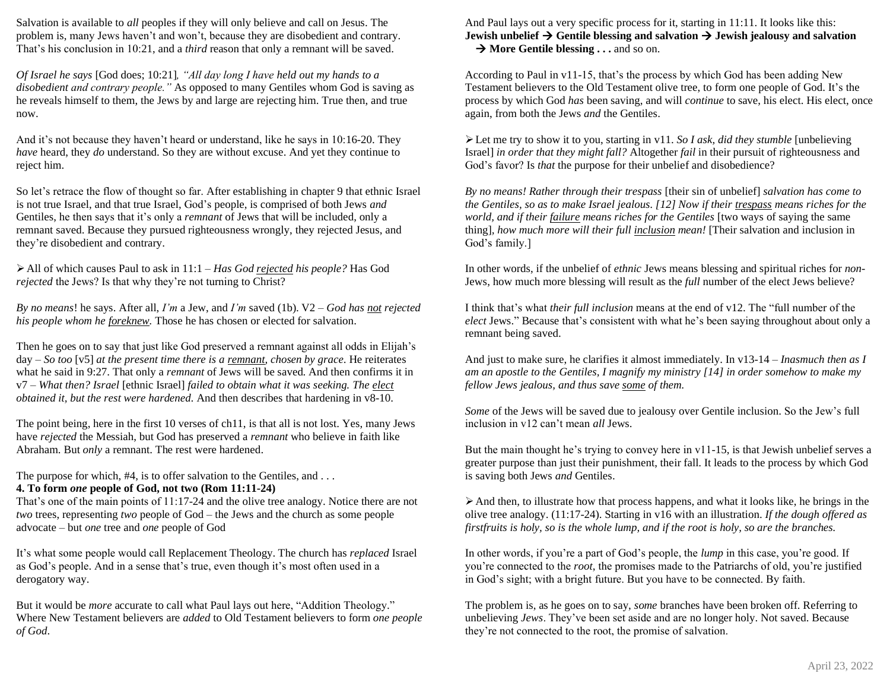Salvation is available to *all* peoples if they will only believe and call on Jesus. The problem is, many Jews haven't and won't, because they are disobedient and contrary. That's his conclusion in 10:21, and a *third* reason that only a remnant will be saved.

*Of Israel he says* [God does; 10:21]*, "All day long I have held out my hands to a disobedient and contrary people."* As opposed to many Gentiles whom God is saving as he reveals himself to them, the Jews by and large are rejecting him. True then, and true now.

And it's not because they haven't heard or understand, like he says in 10:16-20. They *have* heard, they *do* understand. So they are without excuse. And yet they continue to reject him.

So let's retrace the flow of thought so far. After establishing in chapter 9 that ethnic Israel is not true Israel, and that true Israel, God's people, is comprised of both Jews *and* Gentiles, he then says that it's only a *remnant* of Jews that will be included, only a remnant saved. Because they pursued righteousness wrongly, they rejected Jesus, and they're disobedient and contrary.

➢All of which causes Paul to ask in 11:1 – *Has God rejected his people?* Has God *rejected* the Jews? Is that why they're not turning to Christ?

*By no means*! he says. After all, *I'm* a Jew, and *I'm* saved (1b). V2 – *God has not rejected his people whom he foreknew.* Those he has chosen or elected for salvation.

Then he goes on to say that just like God preserved a remnant against all odds in Elijah's day – *So too* [v5] *at the present time there is a remnant, chosen by grace.* He reiterates what he said in 9:27. That only a *remnant* of Jews will be saved. And then confirms it in v7 – *What then? Israel* [ethnic Israel] *failed to obtain what it was seeking. The elect obtained it, but the rest were hardened.* And then describes that hardening in v8-10.

The point being, here in the first 10 verses of ch11, is that all is not lost. Yes, many Jews have *rejected* the Messiah, but God has preserved a *remnant* who believe in faith like Abraham. But *only* a remnant. The rest were hardened.

The purpose for which, #4, is to offer salvation to the Gentiles, and ...

# **4. To form** *one* **people of God, not two (Rom 11:11-24)**

That's one of the main points of 11:17-24 and the olive tree analogy. Notice there are not *two* trees, representing *two* people of God – the Jews and the church as some people advocate – but *one* tree and *one* people of God

It's what some people would call Replacement Theology. The church has *replaced* Israel as God's people. And in a sense that's true, even though it's most often used in a derogatory way.

But it would be *more* accurate to call what Paul lays out here, "Addition Theology." Where New Testament believers are *added* to Old Testament believers to form *one people of God*.

And Paul lays out a very specific process for it, starting in 11:11. It looks like this: **Jewish unbelief** → **Gentile blessing and salvation** → **Jewish jealousy and salvation**  → **More Gentile blessing . . .** and so on.

According to Paul in v11-15, that's the process by which God has been adding New Testament believers to the Old Testament olive tree, to form one people of God. It's the process by which God *has* been saving, and will *continue* to save, his elect. His elect, once again, from both the Jews *and* the Gentiles.

➢Let me try to show it to you, starting in v11. *So I ask, did they stumble* [unbelieving Israel] *in order that they might fall?* Altogether *fail* in their pursuit of righteousness and God's favor? Is *that* the purpose for their unbelief and disobedience?

*By no means! Rather through their trespass* [their sin of unbelief] *salvation has come to the Gentiles, so as to make Israel jealous. [12] Now if their trespass means riches for the world, and if their failure means riches for the Gentiles* [two ways of saying the same thing]*, how much more will their full inclusion mean!* [Their salvation and inclusion in God's family.]

In other words, if the unbelief of *ethnic* Jews means blessing and spiritual riches for *non*-Jews, how much more blessing will result as the *full* number of the elect Jews believe?

I think that's what *their full inclusion* means at the end of v12. The "full number of the *elect* Jews." Because that's consistent with what he's been saying throughout about only a remnant being saved.

And just to make sure, he clarifies it almost immediately. In v13-14 – *Inasmuch then as I am an apostle to the Gentiles, I magnify my ministry [14] in order somehow to make my fellow Jews jealous, and thus save some of them.*

*Some* of the Jews will be saved due to jealousy over Gentile inclusion. So the Jew's full inclusion in v12 can't mean *all* Jews.

But the main thought he's trying to convey here in v11-15, is that Jewish unbelief serves a greater purpose than just their punishment, their fall. It leads to the process by which God is saving both Jews *and* Gentiles.

➢And then, to illustrate how that process happens, and what it looks like, he brings in the olive tree analogy. (11:17-24). Starting in v16 with an illustration. *If the dough offered as firstfruits is holy, so is the whole lump, and if the root is holy, so are the branches.*

In other words, if you're a part of God's people, the *lump* in this case, you're good. If you're connected to the *root*, the promises made to the Patriarchs of old, you're justified in God's sight; with a bright future. But you have to be connected. By faith.

The problem is, as he goes on to say, *some* branches have been broken off. Referring to unbelieving *Jews*. They've been set aside and are no longer holy. Not saved. Because they're not connected to the root, the promise of salvation.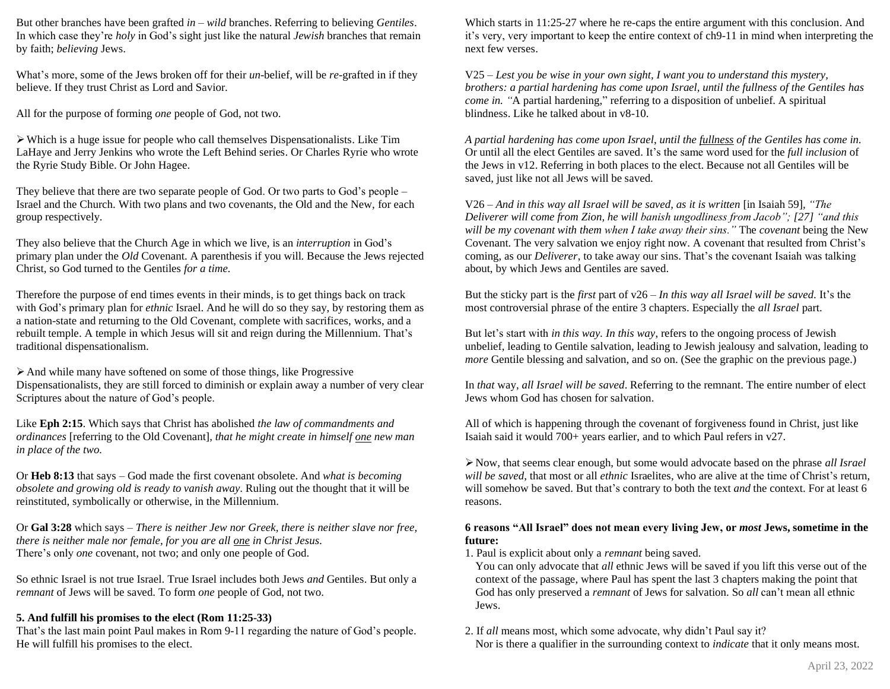But other branches have been grafted *in* – *wild* branches. Referring to believing *Gentiles*. In which case they're *holy* in God's sight just like the natural *Jewish* branches that remain by faith; *believing* Jews.

What's more, some of the Jews broken off for their *un*-belief, will be *re*-grafted in if they believe. If they trust Christ as Lord and Savior.

All for the purpose of forming *one* people of God, not two.

➢Which is a huge issue for people who call themselves Dispensationalists. Like Tim LaHaye and Jerry Jenkins who wrote the Left Behind series. Or Charles Ryrie who wrote the Ryrie Study Bible. Or John Hagee.

They believe that there are two separate people of God. Or two parts to God's people – Israel and the Church. With two plans and two covenants, the Old and the New, for each group respectively.

They also believe that the Church Age in which we live, is an *interruption* in God's primary plan under the *Old* Covenant. A parenthesis if you will. Because the Jews rejected Christ, so God turned to the Gentiles *for a time.*

Therefore the purpose of end times events in their minds, is to get things back on track with God's primary plan for *ethnic* Israel. And he will do so they say, by restoring them as a nation-state and returning to the Old Covenant, complete with sacrifices, works, and a rebuilt temple. A temple in which Jesus will sit and reign during the Millennium. That's traditional dispensationalism.

➢And while many have softened on some of those things, like Progressive Dispensationalists, they are still forced to diminish or explain away a number of very clear Scriptures about the nature of God's people.

Like **Eph 2:15**. Which says that Christ has abolished *the law of commandments and ordinances* [referring to the Old Covenant]*, that he might create in himself one new man in place of the two.*

Or **Heb 8:13** that says – God made the first covenant obsolete. And *what is becoming obsolete and growing old is ready to vanish away.* Ruling out the thought that it will be reinstituted, symbolically or otherwise, in the Millennium.

Or **Gal 3:28** which says – *There is neither Jew nor Greek, there is neither slave nor free, there is neither male nor female, for you are all one in Christ Jesus.* There's only *one* covenant, not two; and only one people of God.

So ethnic Israel is not true Israel. True Israel includes both Jews *and* Gentiles. But only a *remnant* of Jews will be saved. To form *one* people of God, not two.

# **5. And fulfill his promises to the elect (Rom 11:25-33)**

That's the last main point Paul makes in Rom 9-11 regarding the nature of God's people. He will fulfill his promises to the elect.

Which starts in 11:25-27 where he re-caps the entire argument with this conclusion. And it's very, very important to keep the entire context of ch9-11 in mind when interpreting the next few verses.

V25 – *Lest you be wise in your own sight, I want you to understand this mystery, brothers: a partial hardening has come upon Israel, until the fullness of the Gentiles has come in.* "A partial hardening," referring to a disposition of unbelief. A spiritual blindness. Like he talked about in v8-10.

*A partial hardening has come upon Israel*, *until the fullness of the Gentiles has come in.* Or until all the elect Gentiles are saved. It's the same word used for the *full inclusion* of the Jews in v12. Referring in both places to the elect. Because not all Gentiles will be saved, just like not all Jews will be saved.

V26 – *And in this way all Israel will be saved, as it is written* [in Isaiah 59]*, "The Deliverer will come from Zion, he will banish ungodliness from Jacob"; [27] "and this will be my covenant with them when I take away their sins."* The *covenant* being the New Covenant. The very salvation we enjoy right now. A covenant that resulted from Christ's coming, as our *Deliverer*, to take away our sins. That's the covenant Isaiah was talking about, by which Jews and Gentiles are saved.

But the sticky part is the *first* part of v26 – *In this way all Israel will be saved.* It's the most controversial phrase of the entire 3 chapters. Especially the *all Israel* part.

But let's start with *in this way. In this way*, refers to the ongoing process of Jewish unbelief, leading to Gentile salvation, leading to Jewish jealousy and salvation, leading to *more* Gentile blessing and salvation, and so on. (See the graphic on the previous page.)

In *that* way, *all Israel will be saved*. Referring to the remnant. The entire number of elect Jews whom God has chosen for salvation.

All of which is happening through the covenant of forgiveness found in Christ, just like Isaiah said it would 700+ years earlier, and to which Paul refers in v27.

➢Now, that seems clear enough, but some would advocate based on the phrase *all Israel will be saved*, that most or all *ethnic* Israelites, who are alive at the time of Christ's return, will somehow be saved. But that's contrary to both the text *and* the context. For at least 6 reasons.

# **6 reasons "All Israel" does not mean every living Jew, or** *most* **Jews, sometime in the future:**

1. Paul is explicit about only a *remnant* being saved.

You can only advocate that *all* ethnic Jews will be saved if you lift this verse out of the context of the passage, where Paul has spent the last 3 chapters making the point that God has only preserved a *remnant* of Jews for salvation. So *all* can't mean all ethnic Jews.

2. If *all* means most, which some advocate, why didn't Paul say it? Nor is there a qualifier in the surrounding context to *indicate* that it only means most.